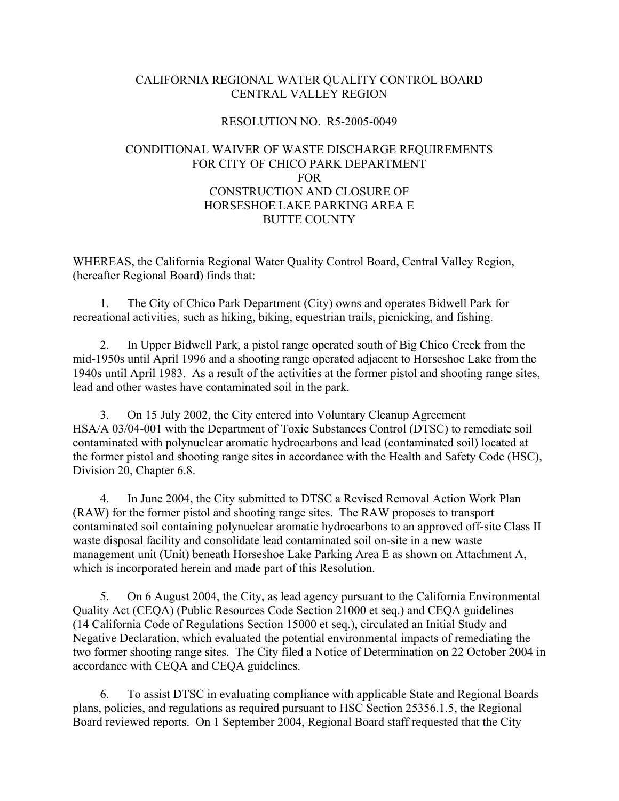## CALIFORNIA REGIONAL WATER QUALITY CONTROL BOARD CENTRAL VALLEY REGION

#### RESOLUTION NO. R5-2005-0049

# CONDITIONAL WAIVER OF WASTE DISCHARGE REQUIREMENTS FOR CITY OF CHICO PARK DEPARTMENT FOR CONSTRUCTION AND CLOSURE OF HORSESHOE LAKE PARKING AREA E BUTTE COUNTY

WHEREAS, the California Regional Water Quality Control Board, Central Valley Region, (hereafter Regional Board) finds that:

1. The City of Chico Park Department (City) owns and operates Bidwell Park for recreational activities, such as hiking, biking, equestrian trails, picnicking, and fishing.

2. In Upper Bidwell Park, a pistol range operated south of Big Chico Creek from the mid-1950s until April 1996 and a shooting range operated adjacent to Horseshoe Lake from the 1940s until April 1983. As a result of the activities at the former pistol and shooting range sites, lead and other wastes have contaminated soil in the park.

3. On 15 July 2002, the City entered into Voluntary Cleanup Agreement HSA/A 03/04-001 with the Department of Toxic Substances Control (DTSC) to remediate soil contaminated with polynuclear aromatic hydrocarbons and lead (contaminated soil) located at the former pistol and shooting range sites in accordance with the Health and Safety Code (HSC), Division 20, Chapter 6.8.

4. In June 2004, the City submitted to DTSC a Revised Removal Action Work Plan (RAW) for the former pistol and shooting range sites. The RAW proposes to transport contaminated soil containing polynuclear aromatic hydrocarbons to an approved off-site Class II waste disposal facility and consolidate lead contaminated soil on-site in a new waste management unit (Unit) beneath Horseshoe Lake Parking Area E as shown on Attachment A, which is incorporated herein and made part of this Resolution.

5. On 6 August 2004, the City, as lead agency pursuant to the California Environmental Quality Act (CEQA) (Public Resources Code Section 21000 et seq.) and CEQA guidelines (14 California Code of Regulations Section 15000 et seq.), circulated an Initial Study and Negative Declaration, which evaluated the potential environmental impacts of remediating the two former shooting range sites. The City filed a Notice of Determination on 22 October 2004 in accordance with CEQA and CEQA guidelines.

6. To assist DTSC in evaluating compliance with applicable State and Regional Boards plans, policies, and regulations as required pursuant to HSC Section 25356.1.5, the Regional Board reviewed reports. On 1 September 2004, Regional Board staff requested that the City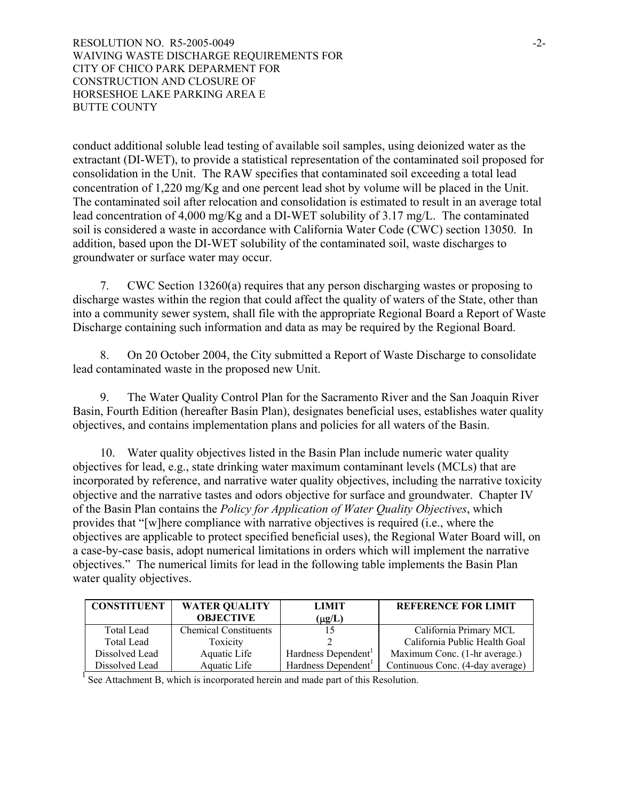RESOLUTION NO. R5-2005-0049 WAIVING WASTE DISCHARGE REQUIREMENTS FOR CITY OF CHICO PARK DEPARMENT FOR CONSTRUCTION AND CLOSURE OF HORSESHOE LAKE PARKING AREA E BUTTE COUNTY

conduct additional soluble lead testing of available soil samples, using deionized water as the extractant (DI-WET), to provide a statistical representation of the contaminated soil proposed for consolidation in the Unit. The RAW specifies that contaminated soil exceeding a total lead concentration of 1,220 mg/Kg and one percent lead shot by volume will be placed in the Unit. The contaminated soil after relocation and consolidation is estimated to result in an average total lead concentration of 4,000 mg/Kg and a DI-WET solubility of 3.17 mg/L. The contaminated soil is considered a waste in accordance with California Water Code (CWC) section 13050. In addition, based upon the DI-WET solubility of the contaminated soil, waste discharges to groundwater or surface water may occur.

7. CWC Section 13260(a) requires that any person discharging wastes or proposing to discharge wastes within the region that could affect the quality of waters of the State, other than into a community sewer system, shall file with the appropriate Regional Board a Report of Waste Discharge containing such information and data as may be required by the Regional Board.

8. On 20 October 2004, the City submitted a Report of Waste Discharge to consolidate lead contaminated waste in the proposed new Unit.

9. The Water Quality Control Plan for the Sacramento River and the San Joaquin River Basin, Fourth Edition (hereafter Basin Plan), designates beneficial uses, establishes water quality objectives, and contains implementation plans and policies for all waters of the Basin.

10. Water quality objectives listed in the Basin Plan include numeric water quality objectives for lead, e.g., state drinking water maximum contaminant levels (MCLs) that are incorporated by reference, and narrative water quality objectives, including the narrative toxicity objective and the narrative tastes and odors objective for surface and groundwater. Chapter IV of the Basin Plan contains the *Policy for Application of Water Quality Objectives*, which provides that "[w]here compliance with narrative objectives is required (i.e., where the objectives are applicable to protect specified beneficial uses), the Regional Water Board will, on a case-by-case basis, adopt numerical limitations in orders which will implement the narrative objectives." The numerical limits for lead in the following table implements the Basin Plan water quality objectives.

| <b>CONSTITUENT</b> | <b>WATER OUALITY</b>         | <b>LIMIT</b>                    | <b>REFERENCE FOR LIMIT</b>       |
|--------------------|------------------------------|---------------------------------|----------------------------------|
|                    | <b>OBJECTIVE</b>             | $(\mu g/L)$                     |                                  |
| <b>Total Lead</b>  | <b>Chemical Constituents</b> |                                 | California Primary MCL           |
| <b>Total Lead</b>  | Toxicity                     |                                 | California Public Health Goal    |
| Dissolved Lead     | Aquatic Life                 | Hardness Dependent <sup>1</sup> | Maximum Conc. (1-hr average.)    |
| Dissolved Lead     | Aquatic Life                 | Hardness Dependent <sup>1</sup> | Continuous Conc. (4-day average) |

 $<sup>1</sup>$  See Attachment B, which is incorporated herein and made part of this Resolution.</sup>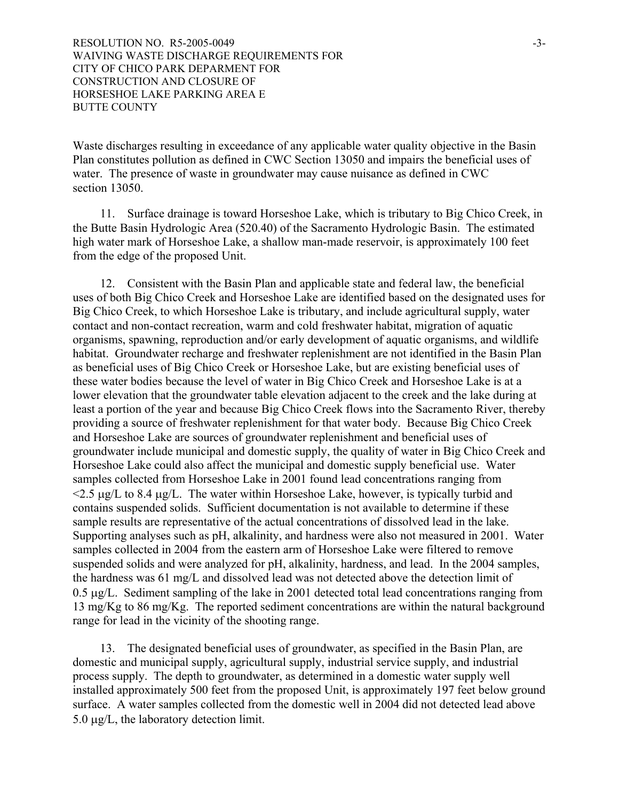Waste discharges resulting in exceedance of any applicable water quality objective in the Basin Plan constitutes pollution as defined in CWC Section 13050 and impairs the beneficial uses of water. The presence of waste in groundwater may cause nuisance as defined in CWC section 13050.

11. Surface drainage is toward Horseshoe Lake, which is tributary to Big Chico Creek, in the Butte Basin Hydrologic Area (520.40) of the Sacramento Hydrologic Basin. The estimated high water mark of Horseshoe Lake, a shallow man-made reservoir, is approximately 100 feet from the edge of the proposed Unit.

12. Consistent with the Basin Plan and applicable state and federal law, the beneficial uses of both Big Chico Creek and Horseshoe Lake are identified based on the designated uses for Big Chico Creek, to which Horseshoe Lake is tributary, and include agricultural supply, water contact and non-contact recreation, warm and cold freshwater habitat, migration of aquatic organisms, spawning, reproduction and/or early development of aquatic organisms, and wildlife habitat. Groundwater recharge and freshwater replenishment are not identified in the Basin Plan as beneficial uses of Big Chico Creek or Horseshoe Lake, but are existing beneficial uses of these water bodies because the level of water in Big Chico Creek and Horseshoe Lake is at a lower elevation that the groundwater table elevation adjacent to the creek and the lake during at least a portion of the year and because Big Chico Creek flows into the Sacramento River, thereby providing a source of freshwater replenishment for that water body. Because Big Chico Creek and Horseshoe Lake are sources of groundwater replenishment and beneficial uses of groundwater include municipal and domestic supply, the quality of water in Big Chico Creek and Horseshoe Lake could also affect the municipal and domestic supply beneficial use. Water samples collected from Horseshoe Lake in 2001 found lead concentrations ranging from  $\leq$  2.5  $\mu$ g/L to 8.4  $\mu$ g/L. The water within Horseshoe Lake, however, is typically turbid and contains suspended solids. Sufficient documentation is not available to determine if these sample results are representative of the actual concentrations of dissolved lead in the lake. Supporting analyses such as pH, alkalinity, and hardness were also not measured in 2001. Water samples collected in 2004 from the eastern arm of Horseshoe Lake were filtered to remove suspended solids and were analyzed for pH, alkalinity, hardness, and lead. In the 2004 samples, the hardness was 61 mg/L and dissolved lead was not detected above the detection limit of 0.5 µg/L. Sediment sampling of the lake in 2001 detected total lead concentrations ranging from 13 mg/Kg to 86 mg/Kg. The reported sediment concentrations are within the natural background range for lead in the vicinity of the shooting range.

13. The designated beneficial uses of groundwater, as specified in the Basin Plan, are domestic and municipal supply, agricultural supply, industrial service supply, and industrial process supply. The depth to groundwater, as determined in a domestic water supply well installed approximately 500 feet from the proposed Unit, is approximately 197 feet below ground surface. A water samples collected from the domestic well in 2004 did not detected lead above 5.0 µg/L, the laboratory detection limit.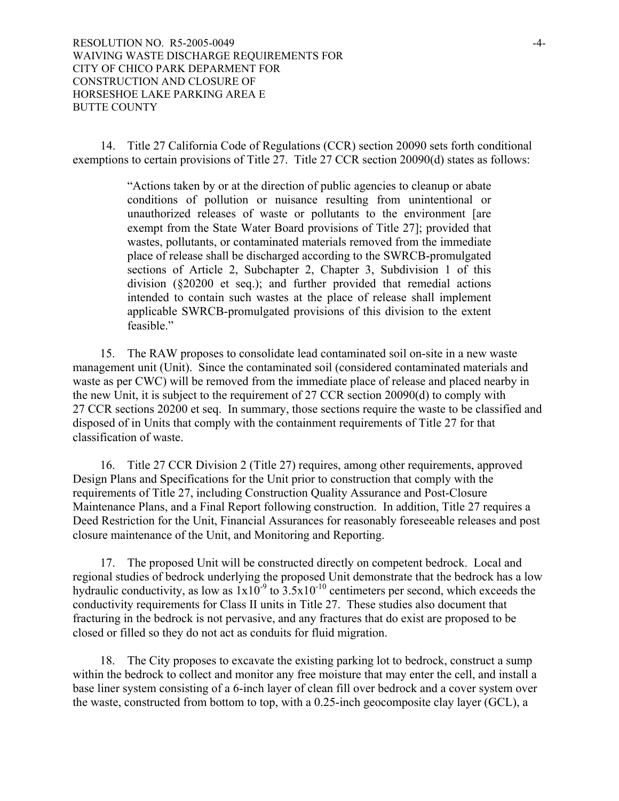14. Title 27 California Code of Regulations (CCR) section 20090 sets forth conditional exemptions to certain provisions of Title 27. Title 27 CCR section 20090(d) states as follows:

> "Actions taken by or at the direction of public agencies to cleanup or abate conditions of pollution or nuisance resulting from unintentional or unauthorized releases of waste or pollutants to the environment [are exempt from the State Water Board provisions of Title 27]; provided that wastes, pollutants, or contaminated materials removed from the immediate place of release shall be discharged according to the SWRCB-promulgated sections of Article 2, Subchapter 2, Chapter 3, Subdivision 1 of this division (§20200 et seq.); and further provided that remedial actions intended to contain such wastes at the place of release shall implement applicable SWRCB-promulgated provisions of this division to the extent feasible."

15. The RAW proposes to consolidate lead contaminated soil on-site in a new waste management unit (Unit). Since the contaminated soil (considered contaminated materials and waste as per CWC) will be removed from the immediate place of release and placed nearby in the new Unit, it is subject to the requirement of 27 CCR section 20090(d) to comply with 27 CCR sections 20200 et seq. In summary, those sections require the waste to be classified and disposed of in Units that comply with the containment requirements of Title 27 for that classification of waste.

16. Title 27 CCR Division 2 (Title 27) requires, among other requirements, approved Design Plans and Specifications for the Unit prior to construction that comply with the requirements of Title 27, including Construction Quality Assurance and Post-Closure Maintenance Plans, and a Final Report following construction. In addition, Title 27 requires a Deed Restriction for the Unit, Financial Assurances for reasonably foreseeable releases and post closure maintenance of the Unit, and Monitoring and Reporting.

17. The proposed Unit will be constructed directly on competent bedrock. Local and regional studies of bedrock underlying the proposed Unit demonstrate that the bedrock has a low hydraulic conductivity, as low as  $1x10^{-9}$  to  $3.5x10^{-10}$  centimeters per second, which exceeds the conductivity requirements for Class II units in Title 27. These studies also document that fracturing in the bedrock is not pervasive, and any fractures that do exist are proposed to be closed or filled so they do not act as conduits for fluid migration.

18. The City proposes to excavate the existing parking lot to bedrock, construct a sump within the bedrock to collect and monitor any free moisture that may enter the cell, and install a base liner system consisting of a 6-inch layer of clean fill over bedrock and a cover system over the waste, constructed from bottom to top, with a 0.25-inch geocomposite clay layer (GCL), a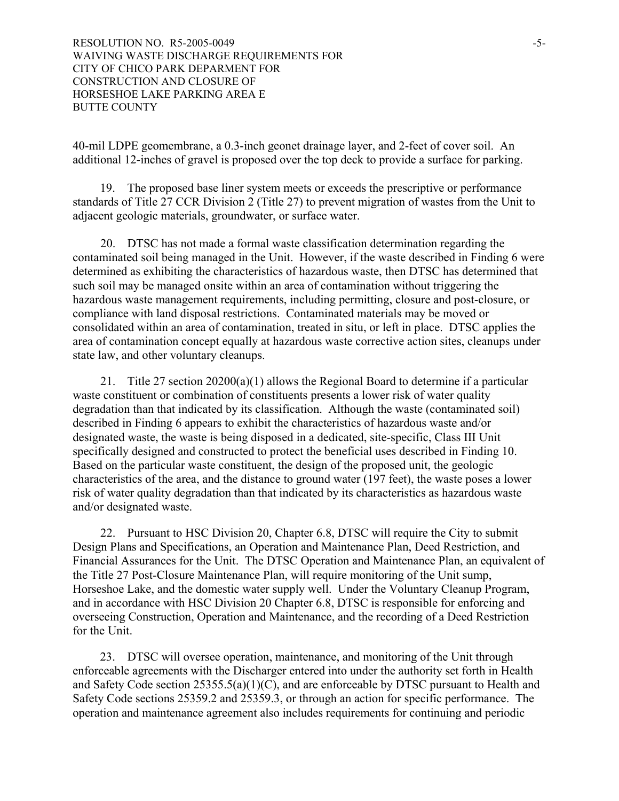40-mil LDPE geomembrane, a 0.3-inch geonet drainage layer, and 2-feet of cover soil. An additional 12-inches of gravel is proposed over the top deck to provide a surface for parking.

19. The proposed base liner system meets or exceeds the prescriptive or performance standards of Title 27 CCR Division 2 (Title 27) to prevent migration of wastes from the Unit to adjacent geologic materials, groundwater, or surface water.

20. DTSC has not made a formal waste classification determination regarding the contaminated soil being managed in the Unit. However, if the waste described in Finding 6 were determined as exhibiting the characteristics of hazardous waste, then DTSC has determined that such soil may be managed onsite within an area of contamination without triggering the hazardous waste management requirements, including permitting, closure and post-closure, or compliance with land disposal restrictions. Contaminated materials may be moved or consolidated within an area of contamination, treated in situ, or left in place. DTSC applies the area of contamination concept equally at hazardous waste corrective action sites, cleanups under state law, and other voluntary cleanups.

21. Title 27 section  $20200(a)(1)$  allows the Regional Board to determine if a particular waste constituent or combination of constituents presents a lower risk of water quality degradation than that indicated by its classification. Although the waste (contaminated soil) described in Finding 6 appears to exhibit the characteristics of hazardous waste and/or designated waste, the waste is being disposed in a dedicated, site-specific, Class III Unit specifically designed and constructed to protect the beneficial uses described in Finding 10. Based on the particular waste constituent, the design of the proposed unit, the geologic characteristics of the area, and the distance to ground water (197 feet), the waste poses a lower risk of water quality degradation than that indicated by its characteristics as hazardous waste and/or designated waste.

22. Pursuant to HSC Division 20, Chapter 6.8, DTSC will require the City to submit Design Plans and Specifications, an Operation and Maintenance Plan, Deed Restriction, and Financial Assurances for the Unit. The DTSC Operation and Maintenance Plan, an equivalent of the Title 27 Post-Closure Maintenance Plan, will require monitoring of the Unit sump, Horseshoe Lake, and the domestic water supply well. Under the Voluntary Cleanup Program, and in accordance with HSC Division 20 Chapter 6.8, DTSC is responsible for enforcing and overseeing Construction, Operation and Maintenance, and the recording of a Deed Restriction for the Unit.

23. DTSC will oversee operation, maintenance, and monitoring of the Unit through enforceable agreements with the Discharger entered into under the authority set forth in Health and Safety Code section 25355.5(a)(1)(C), and are enforceable by DTSC pursuant to Health and Safety Code sections 25359.2 and 25359.3, or through an action for specific performance. The operation and maintenance agreement also includes requirements for continuing and periodic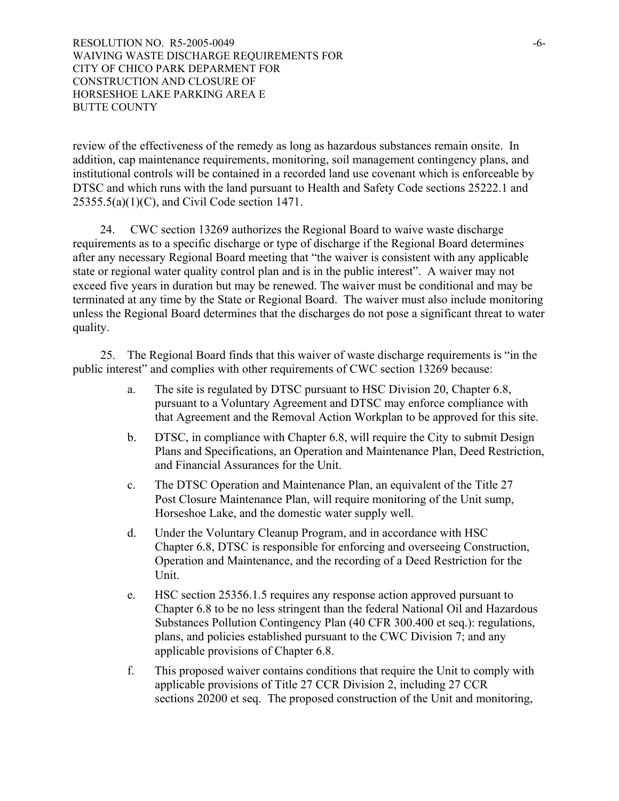review of the effectiveness of the remedy as long as hazardous substances remain onsite. In addition, cap maintenance requirements, monitoring, soil management contingency plans, and institutional controls will be contained in a recorded land use covenant which is enforceable by DTSC and which runs with the land pursuant to Health and Safety Code sections 25222.1 and 25355.5(a)(1)(C), and Civil Code section 1471.

24. CWC section 13269 authorizes the Regional Board to waive waste discharge requirements as to a specific discharge or type of discharge if the Regional Board determines after any necessary Regional Board meeting that "the waiver is consistent with any applicable state or regional water quality control plan and is in the public interest". A waiver may not exceed five years in duration but may be renewed. The waiver must be conditional and may be terminated at any time by the State or Regional Board. The waiver must also include monitoring unless the Regional Board determines that the discharges do not pose a significant threat to water quality.

25. The Regional Board finds that this waiver of waste discharge requirements is "in the public interest" and complies with other requirements of CWC section 13269 because:

- a. The site is regulated by DTSC pursuant to HSC Division 20, Chapter 6.8, pursuant to a Voluntary Agreement and DTSC may enforce compliance with that Agreement and the Removal Action Workplan to be approved for this site.
- b. DTSC, in compliance with Chapter 6.8, will require the City to submit Design Plans and Specifications, an Operation and Maintenance Plan, Deed Restriction, and Financial Assurances for the Unit.
- c. The DTSC Operation and Maintenance Plan, an equivalent of the Title 27 Post Closure Maintenance Plan, will require monitoring of the Unit sump, Horseshoe Lake, and the domestic water supply well.
- d. Under the Voluntary Cleanup Program, and in accordance with HSC Chapter 6.8, DTSC is responsible for enforcing and overseeing Construction, Operation and Maintenance, and the recording of a Deed Restriction for the Unit.
- e. HSC section 25356.1.5 requires any response action approved pursuant to Chapter 6.8 to be no less stringent than the federal National Oil and Hazardous Substances Pollution Contingency Plan (40 CFR 300.400 et seq.): regulations, plans, and policies established pursuant to the CWC Division 7; and any applicable provisions of Chapter 6.8.
- f. This proposed waiver contains conditions that require the Unit to comply with applicable provisions of Title 27 CCR Division 2, including 27 CCR sections 20200 et seq. The proposed construction of the Unit and monitoring,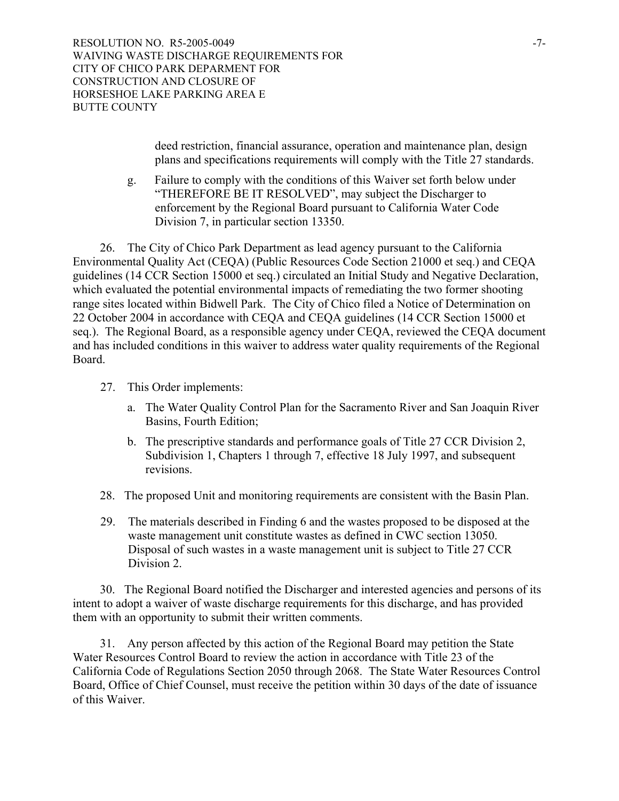RESOLUTION NO. R5-2005-0049 WAIVING WASTE DISCHARGE REQUIREMENTS FOR CITY OF CHICO PARK DEPARMENT FOR CONSTRUCTION AND CLOSURE OF HORSESHOE LAKE PARKING AREA E BUTTE COUNTY

> deed restriction, financial assurance, operation and maintenance plan, design plans and specifications requirements will comply with the Title 27 standards.

g. Failure to comply with the conditions of this Waiver set forth below under "THEREFORE BE IT RESOLVED", may subject the Discharger to enforcement by the Regional Board pursuant to California Water Code Division 7, in particular section 13350.

26. The City of Chico Park Department as lead agency pursuant to the California Environmental Quality Act (CEQA) (Public Resources Code Section 21000 et seq.) and CEQA guidelines (14 CCR Section 15000 et seq.) circulated an Initial Study and Negative Declaration, which evaluated the potential environmental impacts of remediating the two former shooting range sites located within Bidwell Park. The City of Chico filed a Notice of Determination on 22 October 2004 in accordance with CEQA and CEQA guidelines (14 CCR Section 15000 et seq.). The Regional Board, as a responsible agency under CEQA, reviewed the CEQA document and has included conditions in this waiver to address water quality requirements of the Regional Board.

- 27. This Order implements:
	- a. The Water Quality Control Plan for the Sacramento River and San Joaquin River Basins, Fourth Edition;
	- b. The prescriptive standards and performance goals of Title 27 CCR Division 2, Subdivision 1, Chapters 1 through 7, effective 18 July 1997, and subsequent revisions.
- 28. The proposed Unit and monitoring requirements are consistent with the Basin Plan.
- 29. The materials described in Finding 6 and the wastes proposed to be disposed at the waste management unit constitute wastes as defined in CWC section 13050. Disposal of such wastes in a waste management unit is subject to Title 27 CCR Division 2.

 30. The Regional Board notified the Discharger and interested agencies and persons of its intent to adopt a waiver of waste discharge requirements for this discharge, and has provided them with an opportunity to submit their written comments.

 31. Any person affected by this action of the Regional Board may petition the State Water Resources Control Board to review the action in accordance with Title 23 of the California Code of Regulations Section 2050 through 2068. The State Water Resources Control Board, Office of Chief Counsel, must receive the petition within 30 days of the date of issuance of this Waiver.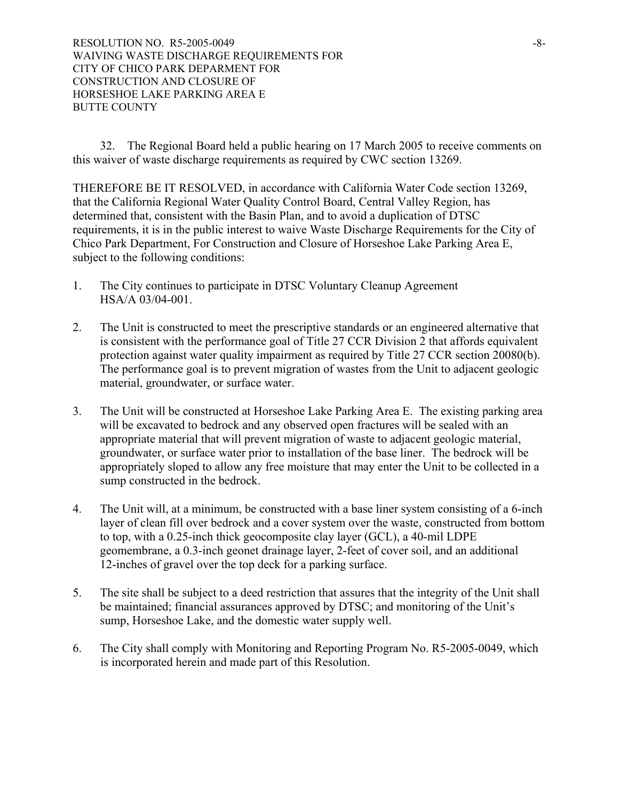32. The Regional Board held a public hearing on 17 March 2005 to receive comments on this waiver of waste discharge requirements as required by CWC section 13269.

THEREFORE BE IT RESOLVED, in accordance with California Water Code section 13269, that the California Regional Water Quality Control Board, Central Valley Region, has determined that, consistent with the Basin Plan, and to avoid a duplication of DTSC requirements, it is in the public interest to waive Waste Discharge Requirements for the City of Chico Park Department, For Construction and Closure of Horseshoe Lake Parking Area E, subject to the following conditions:

- 1. The City continues to participate in DTSC Voluntary Cleanup Agreement HSA/A 03/04-001.
- 2. The Unit is constructed to meet the prescriptive standards or an engineered alternative that is consistent with the performance goal of Title 27 CCR Division 2 that affords equivalent protection against water quality impairment as required by Title 27 CCR section 20080(b). The performance goal is to prevent migration of wastes from the Unit to adjacent geologic material, groundwater, or surface water.
- 3. The Unit will be constructed at Horseshoe Lake Parking Area E. The existing parking area will be excavated to bedrock and any observed open fractures will be sealed with an appropriate material that will prevent migration of waste to adjacent geologic material, groundwater, or surface water prior to installation of the base liner. The bedrock will be appropriately sloped to allow any free moisture that may enter the Unit to be collected in a sump constructed in the bedrock.
- 4. The Unit will, at a minimum, be constructed with a base liner system consisting of a 6-inch layer of clean fill over bedrock and a cover system over the waste, constructed from bottom to top, with a 0.25-inch thick geocomposite clay layer (GCL), a 40-mil LDPE geomembrane, a 0.3-inch geonet drainage layer, 2-feet of cover soil, and an additional 12-inches of gravel over the top deck for a parking surface.
- 5. The site shall be subject to a deed restriction that assures that the integrity of the Unit shall be maintained; financial assurances approved by DTSC; and monitoring of the Unit's sump, Horseshoe Lake, and the domestic water supply well.
- 6. The City shall comply with Monitoring and Reporting Program No. R5-2005-0049, which is incorporated herein and made part of this Resolution.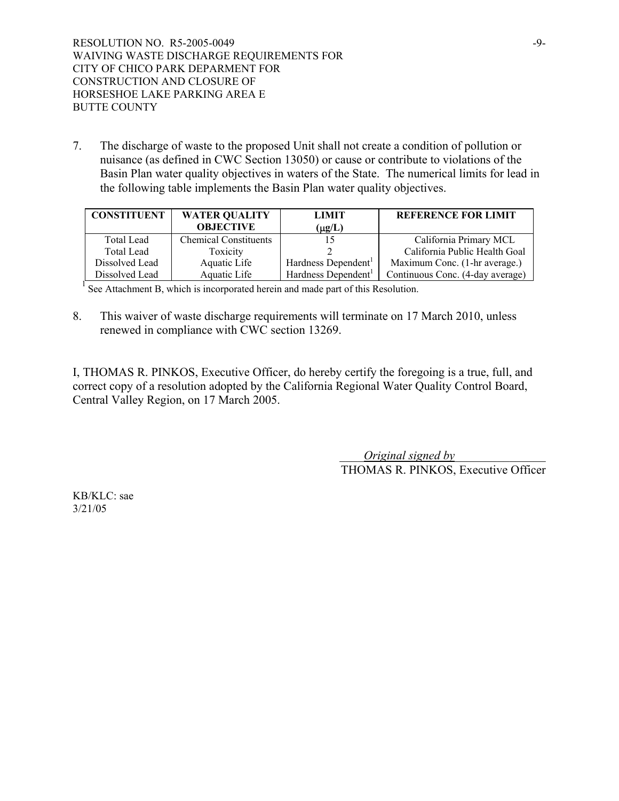7. The discharge of waste to the proposed Unit shall not create a condition of pollution or nuisance (as defined in CWC Section 13050) or cause or contribute to violations of the Basin Plan water quality objectives in waters of the State. The numerical limits for lead in the following table implements the Basin Plan water quality objectives.

| <b>CONSTITUENT</b> | <b>WATER QUALITY</b>         | <b>LIMIT</b>                    | <b>REFERENCE FOR LIMIT</b>       |
|--------------------|------------------------------|---------------------------------|----------------------------------|
|                    | <b>OBJECTIVE</b>             | $(\mu g/L)$                     |                                  |
| <b>Total Lead</b>  | <b>Chemical Constituents</b> |                                 | California Primary MCL           |
| Total Lead         | Toxicity                     |                                 | California Public Health Goal    |
| Dissolved Lead     | Aquatic Life                 | Hardness Dependent              | Maximum Conc. (1-hr average.)    |
| Dissolved Lead     | Aquatic Life                 | Hardness Dependent <sup>1</sup> | Continuous Conc. (4-day average) |

<sup>1</sup> See Attachment B, which is incorporated herein and made part of this Resolution.

8. This waiver of waste discharge requirements will terminate on 17 March 2010, unless renewed in compliance with CWC section 13269.

I, THOMAS R. PINKOS, Executive Officer, do hereby certify the foregoing is a true, full, and correct copy of a resolution adopted by the California Regional Water Quality Control Board, Central Valley Region, on 17 March 2005.

> \_\_\_\_*Original signed by*\_\_\_\_\_\_\_\_\_\_\_\_\_\_\_ THOMAS R. PINKOS, Executive Officer

KB/KLC: sae 3/21/05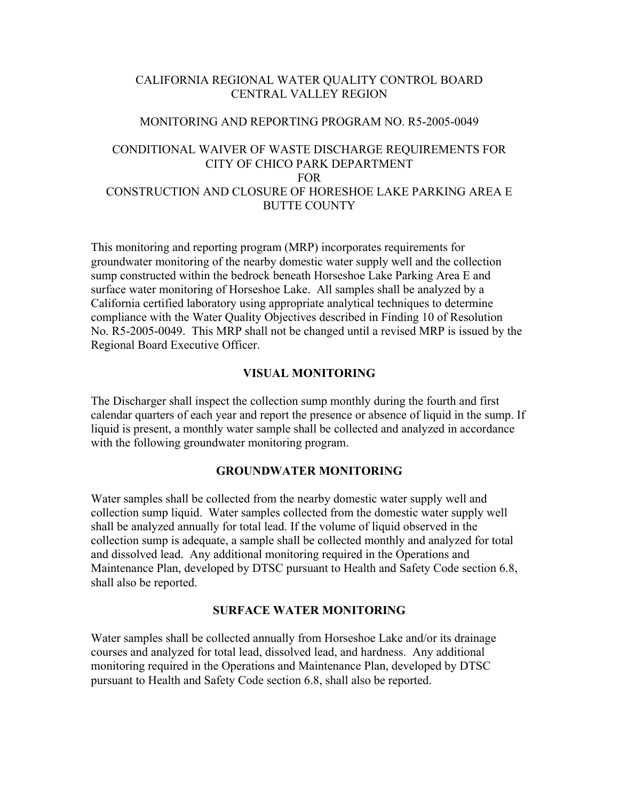## CALIFORNIA REGIONAL WATER QUALITY CONTROL BOARD CENTRAL VALLEY REGION

#### MONITORING AND REPORTING PROGRAM NO. R5-2005-0049

## CONDITIONAL WAIVER OF WASTE DISCHARGE REQUIREMENTS FOR CITY OF CHICO PARK DEPARTMENT FOR CONSTRUCTION AND CLOSURE OF HORESHOE LAKE PARKING AREA E BUTTE COUNTY

This monitoring and reporting program (MRP) incorporates requirements for groundwater monitoring of the nearby domestic water supply well and the collection sump constructed within the bedrock beneath Horseshoe Lake Parking Area E and surface water monitoring of Horseshoe Lake. All samples shall be analyzed by a California certified laboratory using appropriate analytical techniques to determine compliance with the Water Quality Objectives described in Finding 10 of Resolution No. R5-2005-0049. This MRP shall not be changed until a revised MRP is issued by the Regional Board Executive Officer.

## **VISUAL MONITORING**

The Discharger shall inspect the collection sump monthly during the fourth and first calendar quarters of each year and report the presence or absence of liquid in the sump. If liquid is present, a monthly water sample shall be collected and analyzed in accordance with the following groundwater monitoring program.

## **GROUNDWATER MONITORING**

Water samples shall be collected from the nearby domestic water supply well and collection sump liquid. Water samples collected from the domestic water supply well shall be analyzed annually for total lead. If the volume of liquid observed in the collection sump is adequate, a sample shall be collected monthly and analyzed for total and dissolved lead. Any additional monitoring required in the Operations and Maintenance Plan, developed by DTSC pursuant to Health and Safety Code section 6.8, shall also be reported.

#### **SURFACE WATER MONITORING**

Water samples shall be collected annually from Horseshoe Lake and/or its drainage courses and analyzed for total lead, dissolved lead, and hardness. Any additional monitoring required in the Operations and Maintenance Plan, developed by DTSC pursuant to Health and Safety Code section 6.8, shall also be reported.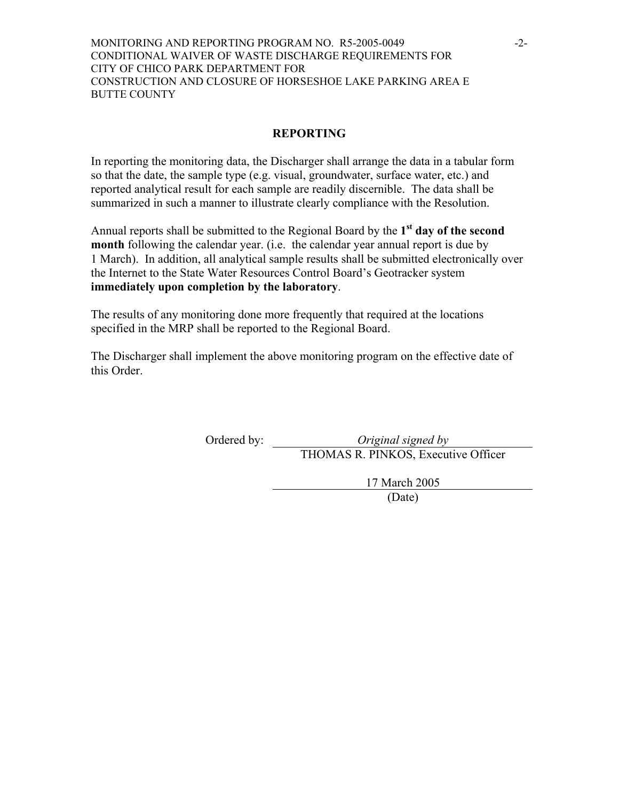#### MONITORING AND REPORTING PROGRAM NO. R5-2005-0049 -2- CONDITIONAL WAIVER OF WASTE DISCHARGE REQUIREMENTS FOR CITY OF CHICO PARK DEPARTMENT FOR CONSTRUCTION AND CLOSURE OF HORSESHOE LAKE PARKING AREA E BUTTE COUNTY

# **REPORTING**

In reporting the monitoring data, the Discharger shall arrange the data in a tabular form so that the date, the sample type (e.g. visual, groundwater, surface water, etc.) and reported analytical result for each sample are readily discernible. The data shall be summarized in such a manner to illustrate clearly compliance with the Resolution.

Annual reports shall be submitted to the Regional Board by the **1st day of the second month** following the calendar year. (i.e. the calendar year annual report is due by 1 March). In addition, all analytical sample results shall be submitted electronically over the Internet to the State Water Resources Control Board's Geotracker system **immediately upon completion by the laboratory**.

The results of any monitoring done more frequently that required at the locations specified in the MRP shall be reported to the Regional Board.

The Discharger shall implement the above monitoring program on the effective date of this Order.

Ordered by: *Original signed by* 

THOMAS R. PINKOS, Executive Officer

17 March 2005

(Date)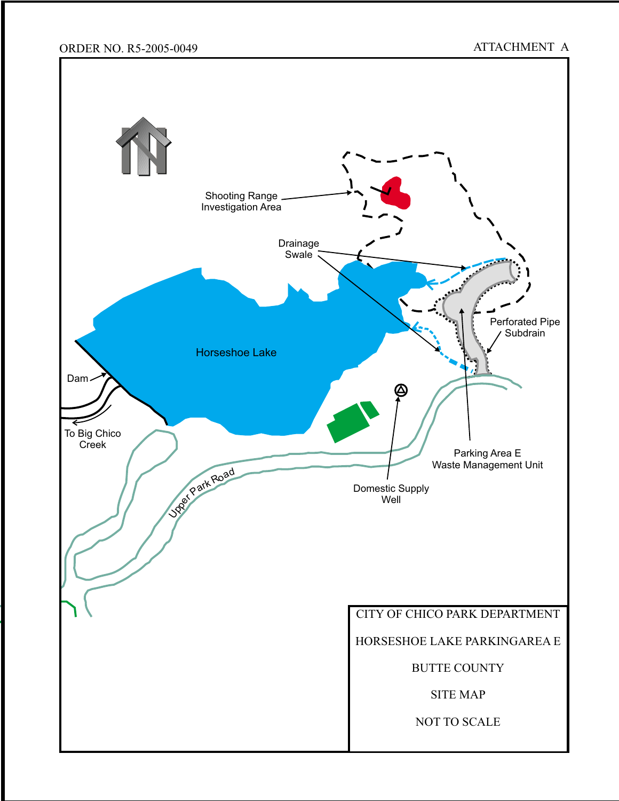# ORDER NO. R5-2005-0049 ATTACHMENT A